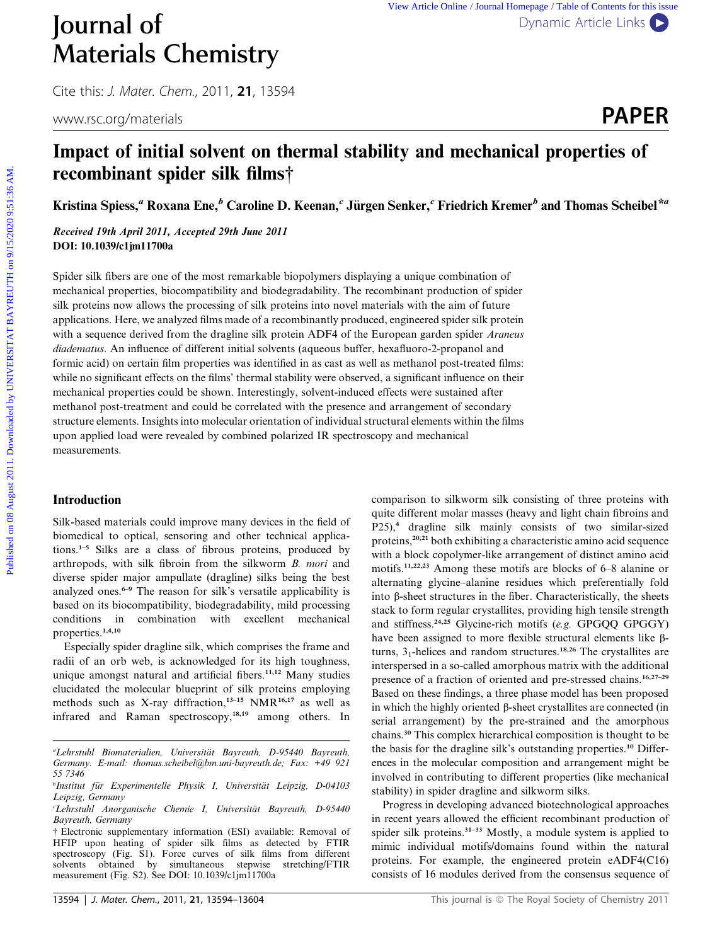Cite this: J. Mater. Chem., 2011, <sup>21</sup>, 13594

# Impact of initial solvent on thermal stability and mechanical properties of recombinant spider silk films†

Kristina Spiess,<sup>a</sup> Roxana Ene,<sup>b</sup> Caroline D. Keenan,<sup>c</sup> Jürgen Senker,<sup>c</sup> Friedrich Kremer<sup>b</sup> and Thomas Scheibel<sup>\*a</sup>

Received 19th April 2011, Accepted 29th June 2011 DOI: 10.1039/c1jm11700a

Spider silk fibers are one of the most remarkable biopolymers displaying a unique combination of mechanical properties, biocompatibility and biodegradability. The recombinant production of spider silk proteins now allows the processing of silk proteins into novel materials with the aim of future applications. Here, we analyzed films made of a recombinantly produced, engineered spider silk protein with a sequence derived from the dragline silk protein ADF4 of the European garden spider Araneus diadematus. An influence of different initial solvents (aqueous buffer, hexafluoro-2-propanol and formic acid) on certain film properties was identified in as cast as well as methanol post-treated films: while no significant effects on the films' thermal stability were observed, a significant influence on their mechanical properties could be shown. Interestingly, solvent-induced effects were sustained after methanol post-treatment and could be correlated with the presence and arrangement of secondary structure elements. Insights into molecular orientation of individual structural elements within the films upon applied load were revealed by combined polarized IR spectroscopy and mechanical measurements. **Published on 1998 August 2011.** The main the equal of the this is a more of the this is a more of the this is a more of the content of the equal Home Content of the main of the state of the main of the state of  $\mathbb{R}^n$ 

# Introduction

Silk-based materials could improve many devices in the field of biomedical to optical, sensoring and other technical applications.1–5 Silks are a class of fibrous proteins, produced by arthropods, with silk fibroin from the silkworm B. mori and diverse spider major ampullate (dragline) silks being the best analyzed ones.<sup>6-9</sup> The reason for silk's versatile applicability is based on its biocompatibility, biodegradability, mild processing conditions in combination with excellent mechanical properties.<sup>1,4,10</sup>

Especially spider dragline silk, which comprises the frame and radii of an orb web, is acknowledged for its high toughness, unique amongst natural and artificial fibers.<sup>11,12</sup> Many studies elucidated the molecular blueprint of silk proteins employing methods such as X-ray diffraction,<sup>13-15</sup> NMR<sup>16,17</sup> as well as infrared and Raman spectroscopy,18,19 among others. In comparison to silkworm silk consisting of three proteins with quite different molar masses (heavy and light chain fibroins and P25),<sup>4</sup> dragline silk mainly consists of two similar-sized proteins,<sup>20,21</sup> both exhibiting a characteristic amino acid sequence with a block copolymer-like arrangement of distinct amino acid motifs.11,22,23 Among these motifs are blocks of 6–8 alanine or alternating glycine–alanine residues which preferentially fold into  $\beta$ -sheet structures in the fiber. Characteristically, the sheets stack to form regular crystallites, providing high tensile strength and stiffness.<sup>24,25</sup> Glycine-rich motifs (e.g. GPGQQ GPGGY) have been assigned to more flexible structural elements like  $\beta$ turns,  $3<sub>1</sub>$ -helices and random structures.<sup>18,26</sup> The crystallites are interspersed in a so-called amorphous matrix with the additional presence of a fraction of oriented and pre-stressed chains.<sup>16,27-29</sup> Based on these findings, a three phase model has been proposed in which the highly oriented  $\beta$ -sheet crystallites are connected (in serial arrangement) by the pre-strained and the amorphous chains.<sup>30</sup> This complex hierarchical composition is thought to be the basis for the dragline silk's outstanding properties.<sup>10</sup> Differences in the molecular composition and arrangement might be involved in contributing to different properties (like mechanical stability) in spider dragline and silkworm silks.

Progress in developing advanced biotechnological approaches in recent years allowed the efficient recombinant production of spider silk proteins.31–33 Mostly, a module system is applied to mimic individual motifs/domains found within the natural proteins. For example, the engineered protein eADF4(C16) consists of 16 modules derived from the consensus sequence of

<sup>&</sup>quot;Lehrstuhl Biomaterialien, Universität Bayreuth, D-95440 Bayreuth, Germany. E-mail: thomas.scheibel@bm.uni-bayreuth.de; Fax: +49 921 55 7346

<sup>&</sup>lt;sup>b</sup>Institut für Experimentelle Physik I, Universität Leipzig, D-04103 Leipzig, Germany

CLehrstuhl Anorganische Chemie I, Universität Bayreuth, D-95440 Bayreuth, Germany

<sup>†</sup> Electronic supplementary information (ESI) available: Removal of HFIP upon heating of spider silk films as detected by FTIR spectroscopy (Fig. S1). Force curves of silk films from different solvents obtained by simultaneous stepwise stretching/FTIR measurement (Fig. S2). See DOI: 10.1039/c1jm11700a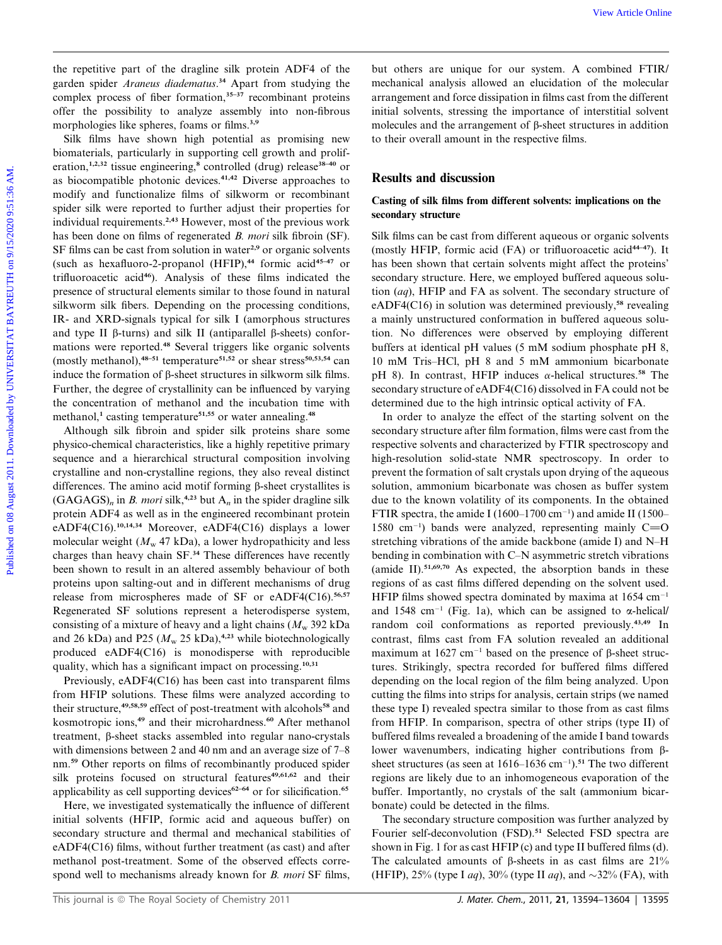the repetitive part of the dragline silk protein ADF4 of the garden spider Araneus diadematus.<sup>34</sup> Apart from studying the complex process of fiber formation, $35-37$  recombinant proteins offer the possibility to analyze assembly into non-fibrous morphologies like spheres, foams or films.<sup>3,9</sup>

Silk films have shown high potential as promising new biomaterials, particularly in supporting cell growth and proliferation,<sup>1,2,32</sup> tissue engineering,<sup>8</sup> controlled (drug) release<sup>38–40</sup> or as biocompatible photonic devices.<sup>41,42</sup> Diverse approaches to modify and functionalize films of silkworm or recombinant spider silk were reported to further adjust their properties for individual requirements.2,43 However, most of the previous work has been done on films of regenerated B. mori silk fibroin (SF). SF films can be cast from solution in water<sup>2,9</sup> or organic solvents (such as hexafluoro-2-propanol  $(HFIP)$ ,<sup>44</sup> formic acid<sup>45-47</sup> or trifluoroacetic acid<sup>46</sup>). Analysis of these films indicated the presence of structural elements similar to those found in natural silkworm silk fibers. Depending on the processing conditions, IR- and XRD-signals typical for silk I (amorphous structures and type II  $\beta$ -turns) and silk II (antiparallel  $\beta$ -sheets) conformations were reported.<sup>48</sup> Several triggers like organic solvents (mostly methanol), $48-51$  temperature<sup>51,52</sup> or shear stress<sup>50,53,54</sup> can induce the formation of  $\beta$ -sheet structures in silkworm silk films. Further, the degree of crystallinity can be influenced by varying the concentration of methanol and the incubation time with methanol,<sup>1</sup> casting temperature<sup>51,55</sup> or water annealing.<sup>48</sup> We repetitive part of the dragtine silk, provide ADF4 of the but others are unique for our system. A combinate This comparison when the medicine constrained by the medicine online in the medicine of the properties of the

Although silk fibroin and spider silk proteins share some physico-chemical characteristics, like a highly repetitive primary sequence and a hierarchical structural composition involving crystalline and non-crystalline regions, they also reveal distinct differences. The amino acid motif forming  $\beta$ -sheet crystallites is  $(GAGAGS)<sub>n</sub>$  in *B. mori* silk,<sup>4,23</sup> but A<sub>n</sub> in the spider dragline silk protein ADF4 as well as in the engineered recombinant protein eADF4(C16).<sup>10,14,34</sup> Moreover, eADF4(C16) displays a lower molecular weight ( $M_{\rm w}$  47 kDa), a lower hydropathicity and less charges than heavy chain SF.<sup>34</sup> These differences have recently been shown to result in an altered assembly behaviour of both proteins upon salting-out and in different mechanisms of drug release from microspheres made of SF or eADF4(C16).<sup>56,57</sup> Regenerated SF solutions represent a heterodisperse system, consisting of a mixture of heavy and a light chains  $(M_w 392$  kDa and 26 kDa) and P25 ( $M_{\rm w}$  25 kDa),<sup>4,23</sup> while biotechnologically produced eADF4(C16) is monodisperse with reproducible quality, which has a significant impact on processing.<sup>10,31</sup>

Previously, eADF4(C16) has been cast into transparent films from HFIP solutions. These films were analyzed according to their structure,<sup>49,58,59</sup> effect of post-treatment with alcohols<sup>58</sup> and kosmotropic ions,<sup>49</sup> and their microhardness.<sup>60</sup> After methanol treatment, b-sheet stacks assembled into regular nano-crystals with dimensions between 2 and 40 nm and an average size of 7–8 nm.<sup>59</sup> Other reports on films of recombinantly produced spider silk proteins focused on structural features<sup>49,61,62</sup> and their applicability as cell supporting devices<sup>62-64</sup> or for silicification.<sup>65</sup>

Here, we investigated systematically the influence of different initial solvents (HFIP, formic acid and aqueous buffer) on secondary structure and thermal and mechanical stabilities of eADF4(C16) films, without further treatment (as cast) and after methanol post-treatment. Some of the observed effects correspond well to mechanisms already known for *B. mori* SF films,

but others are unique for our system. A combined FTIR/ mechanical analysis allowed an elucidation of the molecular arrangement and force dissipation in films cast from the different initial solvents, stressing the importance of interstitial solvent molecules and the arrangement of  $\beta$ -sheet structures in addition to their overall amount in the respective films.

## Results and discussion

# Casting of silk films from different solvents: implications on the secondary structure

Silk films can be cast from different aqueous or organic solvents (mostly HFIP, formic acid  $(FA)$  or trifluoroacetic acid<sup>44-47</sup>). It has been shown that certain solvents might affect the proteins' secondary structure. Here, we employed buffered aqueous solution (aq), HFIP and FA as solvent. The secondary structure of eADF4( $C16$ ) in solution was determined previously,<sup>58</sup> revealing a mainly unstructured conformation in buffered aqueous solution. No differences were observed by employing different buffers at identical pH values (5 mM sodium phosphate pH 8, 10 mM Tris–HCl, pH 8 and 5 mM ammonium bicarbonate pH 8). In contrast, HFIP induces  $\alpha$ -helical structures.<sup>58</sup> The secondary structure of eADF4(C16) dissolved in FA could not be determined due to the high intrinsic optical activity of FA.

In order to analyze the effect of the starting solvent on the secondary structure after film formation, films were cast from the respective solvents and characterized by FTIR spectroscopy and high-resolution solid-state NMR spectroscopy. In order to prevent the formation of salt crystals upon drying of the aqueous solution, ammonium bicarbonate was chosen as buffer system due to the known volatility of its components. In the obtained FTIR spectra, the amide I (1600–1700 cm<sup>-1</sup>) and amide II (1500– 1580 cm<sup>-1</sup>) bands were analyzed, representing mainly C=O stretching vibrations of the amide backbone (amide I) and N–H bending in combination with C–N asymmetric stretch vibrations (amide II). $51,69,70$  As expected, the absorption bands in these regions of as cast films differed depending on the solvent used. HFIP films showed spectra dominated by maxima at  $1654 \text{ cm}^{-1}$ and 1548 cm<sup>-1</sup> (Fig. 1a), which can be assigned to  $\alpha$ -helical/ random coil conformations as reported previously.43,49 In contrast, films cast from FA solution revealed an additional maximum at  $1627 \text{ cm}^{-1}$  based on the presence of  $\beta$ -sheet structures. Strikingly, spectra recorded for buffered films differed depending on the local region of the film being analyzed. Upon cutting the films into strips for analysis, certain strips (we named these type I) revealed spectra similar to those from as cast films from HFIP. In comparison, spectra of other strips (type II) of buffered films revealed a broadening of the amide I band towards lower wavenumbers, indicating higher contributions from bsheet structures (as seen at  $1616-1636$  cm<sup>-1</sup>).<sup>51</sup> The two different regions are likely due to an inhomogeneous evaporation of the buffer. Importantly, no crystals of the salt (ammonium bicarbonate) could be detected in the films.

The secondary structure composition was further analyzed by Fourier self-deconvolution (FSD).<sup>51</sup> Selected FSD spectra are shown in Fig. 1 for as cast HFIP (c) and type II buffered films (d). The calculated amounts of  $\beta$ -sheets in as cast films are 21% (HFIP), 25% (type I *aq*), 30% (type II *aq*), and  $\sim$ 32% (FA), with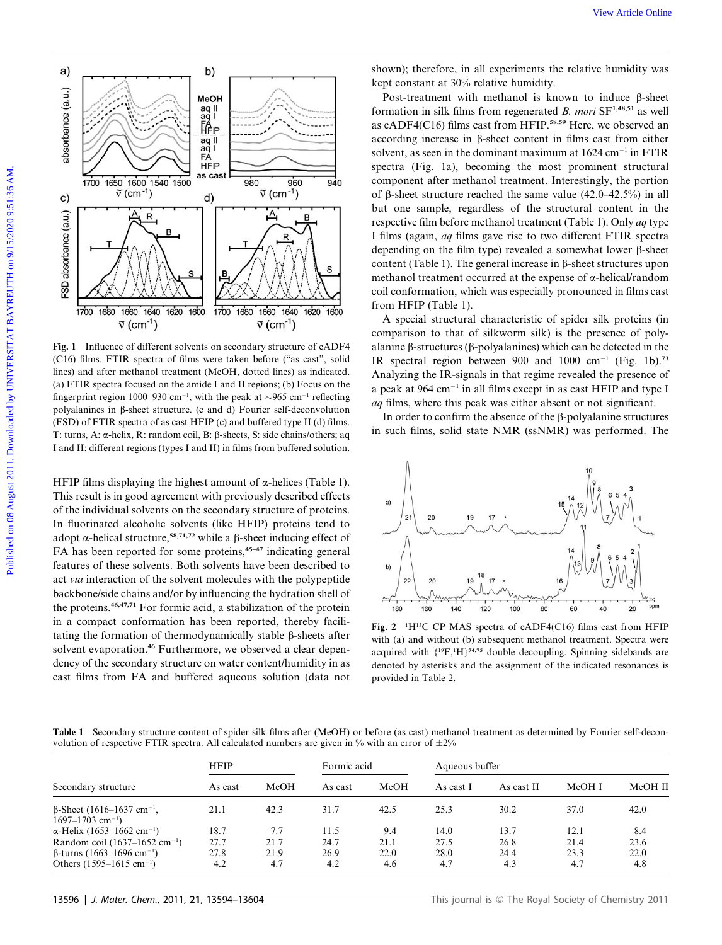

Fig. 1 Influence of different solvents on secondary structure of eADF4 (C16) films. FTIR spectra of films were taken before (''as cast'', solid lines) and after methanol treatment (MeOH, dotted lines) as indicated. (a) FTIR spectra focused on the amide I and II regions; (b) Focus on the fingerprint region 1000–930 cm<sup>-1</sup>, with the peak at  $\sim$ 965 cm<sup>-1</sup> reflecting polyalanines in  $\beta$ -sheet structure. (c and d) Fourier self-deconvolution (FSD) of FTIR spectra of as cast HFIP (c) and buffered type II (d) films. T: turns, A:  $\alpha$ -helix, R: random coil, B:  $\beta$ -sheets, S: side chains/others; aq I and II: different regions (types I and II) in films from buffered solution.

HFIP films displaying the highest amount of  $\alpha$ -helices (Table 1). This result is in good agreement with previously described effects of the individual solvents on the secondary structure of proteins. In fluorinated alcoholic solvents (like HFIP) proteins tend to adopt  $\alpha$ -helical structure,<sup>58,71,72</sup> while a  $\beta$ -sheet inducing effect of FA has been reported for some proteins,<sup>45-47</sup> indicating general features of these solvents. Both solvents have been described to act via interaction of the solvent molecules with the polypeptide backbone/side chains and/or by influencing the hydration shell of the proteins.46,47,71 For formic acid, a stabilization of the protein in a compact conformation has been reported, thereby facilitating the formation of thermodynamically stable  $\beta$ -sheets after solvent evaporation.<sup>46</sup> Furthermore, we observed a clear dependency of the secondary structure on water content/humidity in as cast films from FA and buffered aqueous solution (data not

shown); therefore, in all experiments the relative humidity was kept constant at 30% relative humidity.

Post-treatment with methanol is known to induce  $\beta$ -sheet formation in silk films from regenerated  $B$ . mori  $SF^{1,48,51}$  as well as eADF4(C16) films cast from HFIP.58,59 Here, we observed an according increase in b-sheet content in films cast from either solvent, as seen in the dominant maximum at  $1624 \text{ cm}^{-1}$  in FTIR spectra (Fig. 1a), becoming the most prominent structural component after methanol treatment. Interestingly, the portion of  $\beta$ -sheet structure reached the same value (42.0–42.5%) in all but one sample, regardless of the structural content in the respective film before methanol treatment (Table 1). Only aq type I films (again, aq films gave rise to two different FTIR spectra depending on the film type) revealed a somewhat lower  $\beta$ -sheet content (Table 1). The general increase in  $\beta$ -sheet structures upon methanol treatment occurred at the expense of  $\alpha$ -helical/random coil conformation, which was especially pronounced in films cast from HFIP (Table 1).

A special structural characteristic of spider silk proteins (in comparison to that of silkworm silk) is the presence of polyalanine  $\beta$ -structures ( $\beta$ -polyalanines) which can be detected in the IR spectral region between 900 and 1000 cm<sup>-1</sup> (Fig. 1b).<sup>73</sup> Analyzing the IR-signals in that regime revealed the presence of a peak at  $964 \text{ cm}^{-1}$  in all films except in as cast HFIP and type I aq films, where this peak was either absent or not significant.

In order to confirm the absence of the  $\beta$ -polyalanine structures in such films, solid state NMR (ssNMR) was performed. The



Fig. 2 <sup>1</sup>H<sup>13</sup>C CP MAS spectra of eADF4(C16) films cast from HFIP with (a) and without (b) subsequent methanol treatment. Spectra were acquired with  ${^{19}\text{F}, ^1\text{H}}\n$ <sup>74,75</sup> double decoupling. Spinning sidebands are denoted by asterisks and the assignment of the indicated resonances is provided in Table 2.

Table 1 Secondary structure content of spider silk films after (MeOH) or before (as cast) methanol treatment as determined by Fourier self-deconvolution of respective FTIR spectra. All calculated numbers are given in % with an error of  $\pm 2\%$ 

|                                                                                  | <b>HFIP</b> |      | Formic acid |      | Aqueous buffer |            |        |         |
|----------------------------------------------------------------------------------|-------------|------|-------------|------|----------------|------------|--------|---------|
| Secondary structure                                                              | As cast     | MeOH | As cast     | MeOH | As cast I      | As cast II | MeOH I | MeOH II |
| $\beta$ -Sheet (1616–1637 cm <sup>-1</sup> ,<br>$1697 - 1703$ cm <sup>-1</sup> ) | 21.1        | 42.3 | 31.7        | 42.5 | 25.3           | 30.2       | 37.0   | 42.0    |
| $\alpha$ -Helix (1653–1662 cm <sup>-1</sup> )                                    | 18.7        | 7.7  | 11.5        | 9.4  | 14.0           | 13.7       | 12.1   | 8.4     |
| Random coil (1637–1652 cm <sup>-1</sup> )                                        | 27.7        | 21.7 | 24.7        | 21.1 | 27.5           | 26.8       | 21.4   | 23.6    |
| $\beta$ -turns (1663–1696 cm <sup>-1</sup> )                                     | 27.8        | 21.9 | 26.9        | 22.0 | 28.0           | 24.4       | 23.3   | 22.0    |
| Others $(1595-1615 \text{ cm}^{-1})$                                             | 4.2         | 4.7  | 4.2         | 4.6  | 4.7            | 4.3        | 4.7    | 4.8     |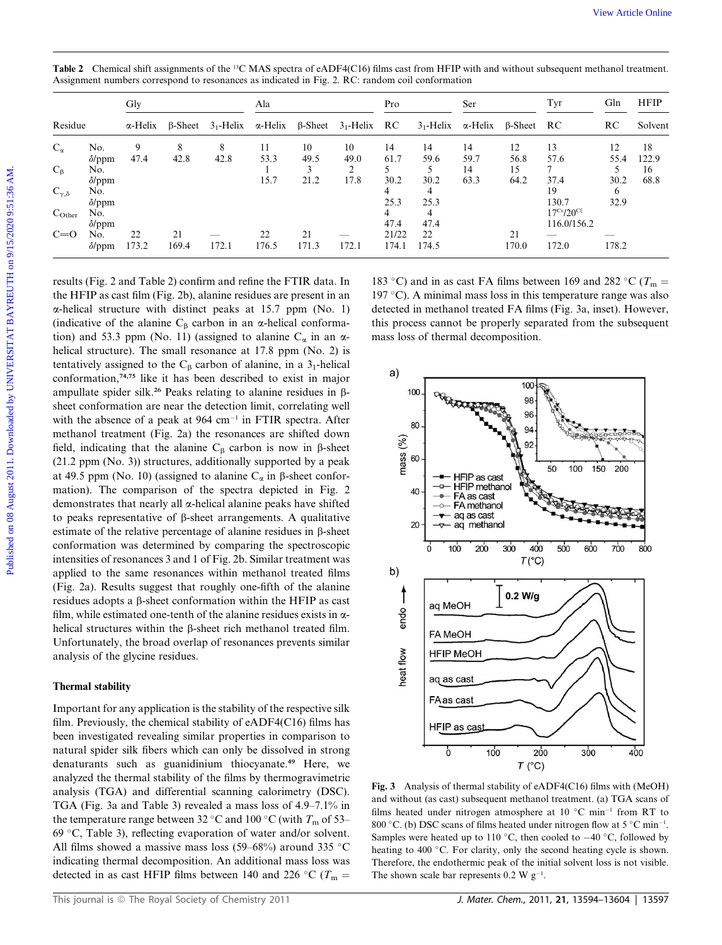|                                                                                                                                                                                                                                                                | Gly                       |                |                                                                                | Ala                     |                         |                         | Pro                                       |                                                   | Ser                      |                          | Tyr                                                              | Gln                          | <b>HFIP</b>               |
|----------------------------------------------------------------------------------------------------------------------------------------------------------------------------------------------------------------------------------------------------------------|---------------------------|----------------|--------------------------------------------------------------------------------|-------------------------|-------------------------|-------------------------|-------------------------------------------|---------------------------------------------------|--------------------------|--------------------------|------------------------------------------------------------------|------------------------------|---------------------------|
| Residue                                                                                                                                                                                                                                                        | α-Helix                   | $\beta$ -Sheet | $31$ -Helix                                                                    | $\alpha$ -Helix         | $\beta$ -Sheet          | $31$ -Helix             | RC                                        | $31$ -Helix                                       | $\alpha$ -Helix          | $\beta$ -Sheet           | RC                                                               | RC                           | Solvent                   |
| $C_{\alpha}$<br>No.<br>$\delta$ /ppm<br>$C_{\beta}$<br>No.<br>$\delta$ /ppm<br>$C_{\gamma,\delta}$<br>No.                                                                                                                                                      | 9<br>47.4                 | 8<br>42.8      | 8<br>42.8                                                                      | 11<br>53.3<br>1<br>15.7 | 10<br>49.5<br>3<br>21.2 | 10<br>49.0<br>2<br>17.8 | 14<br>61.7<br>5<br>30.2<br>$\overline{4}$ | 14<br>59.6<br>5<br>30.2<br>$\overline{4}$         | 14<br>59.7<br>14<br>63.3 | 12<br>56.8<br>15<br>64.2 | 13<br>57.6<br>7<br>37.4<br>19                                    | 12<br>55.4<br>5<br>30.2<br>6 | 18<br>122.9<br>16<br>68.8 |
| $\delta$ /ppm<br>No.<br>$C_{Other}$<br>$\delta$ /ppm<br>$C=0$<br>No.                                                                                                                                                                                           | 22<br>$\delta$ /ppm 173.2 | 21<br>169.4    | 172.1                                                                          | 22<br>176.5             | 21<br>171.3             | 172.1                   | 25.3<br>4<br>47.4<br>21/22<br>174.1       | 25.3<br>$\overline{4}$<br>47.4<br>$22\,$<br>174.5 |                          | 21<br>170.0              | 130.7<br>$17^{\text{Cs}}/20^{\text{CS}}$<br>116.0/156.2<br>172.0 | 32.9<br>178.2                |                           |
| (indicative of the alanine $C_{\beta}$ carbon in an $\alpha$ -helical conforma-                                                                                                                                                                                |                           |                | tion) and 53.3 ppm (No. 11) (assigned to alanine $C_{\alpha}$ in an $\alpha$ - |                         |                         |                         |                                           | mass loss of thermal decomposition.               |                          |                          |                                                                  |                              |                           |
| helical structure). The small resonance at 17.8 ppm (No. 2) is                                                                                                                                                                                                 |                           |                |                                                                                |                         |                         |                         |                                           |                                                   |                          |                          |                                                                  |                              |                           |
| tentatively assigned to the $C_{\beta}$ carbon of alanine, in a 3 <sub>1</sub> -helical<br>conformation, <sup>74,75</sup> like it has been described to exist in major<br>ampullate spider silk. <sup>26</sup> Peaks relating to alanine residues in $\beta$ - |                           |                |                                                                                |                         |                         |                         | a)                                        | 100                                               |                          | 100                      |                                                                  |                              |                           |
| sheet conformation are near the detection limit, correlating well<br>with the absence of a peak at $964 \text{ cm}^{-1}$ in FTIR spectra. After                                                                                                                |                           |                |                                                                                |                         |                         |                         |                                           | 80                                                |                          | 98<br>96                 |                                                                  |                              |                           |
| methanol treatment (Fig. 2a) the resonances are shifted down<br>field, indicating that the alanine $C_{\beta}$ carbon is now in $\beta$ -sheet<br>(21.2 ppm (No. 3)) structures, additionally supported by a peak                                              |                           |                |                                                                                |                         |                         |                         | mass $(%)$                                | 60                                                |                          | 94                       | 50<br>100                                                        | 150<br>200                   |                           |

Table 2 Chemical shift assignments of the <sup>13</sup>C MAS spectra of eADF4(C16) films cast from HFIP with and without subsequent methanol treatment. Assignment numbers correspond to resonances as indicated in Fig. 2. RC: random coil conformation

results (Fig. 2 and Table 2) confirm and refine the FTIR data. In the HFIP as cast film (Fig. 2b), alanine residues are present in an  $\alpha$ -helical structure with distinct peaks at 15.7 ppm (No. 1) (indicative of the alanine  $C_\beta$  carbon in an  $\alpha$ -helical conformation) and 53.3 ppm (No. 11) (assigned to alanine  $C_{\alpha}$  in an  $\alpha$ helical structure). The small resonance at 17.8 ppm (No. 2) is tentatively assigned to the  $C_\beta$  carbon of alanine, in a 3<sub>1</sub>-helical conformation,74,75 like it has been described to exist in major ampullate spider silk.<sup>26</sup> Peaks relating to alanine residues in  $\beta$ sheet conformation are near the detection limit, correlating well with the absence of a peak at  $964 \text{ cm}^{-1}$  in FTIR spectra. After methanol treatment (Fig. 2a) the resonances are shifted down field, indicating that the alanine  $C_\beta$  carbon is now in  $\beta$ -sheet (21.2 ppm (No. 3)) structures, additionally supported by a peak at 49.5 ppm (No. 10) (assigned to alanine  $C_{\alpha}$  in  $\beta$ -sheet conformation). The comparison of the spectra depicted in Fig. 2 demonstrates that nearly all  $\alpha$ -helical alanine peaks have shifted to peaks representative of  $\beta$ -sheet arrangements. A qualitative estimate of the relative percentage of alanine residues in  $\beta$ -sheet conformation was determined by comparing the spectroscopic intensities of resonances 3 and 1 of Fig. 2b. Similar treatment was applied to the same resonances within methanol treated films (Fig. 2a). Results suggest that roughly one-fifth of the alanine residues adopts a b-sheet conformation within the HFIP as cast film, while estimated one-tenth of the alanine residues exists in  $\alpha$ helical structures within the  $\beta$ -sheet rich methanol treated film. Unfortunately, the broad overlap of resonances prevents similar analysis of the glycine residues.

# Thermal stability

Important for any application is the stability of the respective silk film. Previously, the chemical stability of eADF4(C16) films has been investigated revealing similar properties in comparison to natural spider silk fibers which can only be dissolved in strong denaturants such as guanidinium thiocyanate.<sup>49</sup> Here, we analyzed the thermal stability of the films by thermogravimetric analysis (TGA) and differential scanning calorimetry (DSC). TGA (Fig. 3a and Table 3) revealed a mass loss of 4.9–7.1% in the temperature range between 32 °C and 100 °C (with  $T_{\rm m}$  of 53– 69  $\degree$ C, Table 3), reflecting evaporation of water and/or solvent. All films showed a massive mass loss (59–68%) around 335 °C indicating thermal decomposition. An additional mass loss was detected in as cast HFIP films between 140 and 226 °C ( $T_m$  =



Fig. 3 Analysis of thermal stability of eADF4(C16) films with (MeOH) and without (as cast) subsequent methanol treatment. (a) TGA scans of films heated under nitrogen atmosphere at 10  $^{\circ}$ C min<sup>-1</sup> from RT to 800 °C. (b) DSC scans of films heated under nitrogen flow at 5 °C min<sup>-1</sup>. Samples were heated up to 110 °C, then cooled to  $-40$  °C, followed by heating to 400 °C. For clarity, only the second heating cycle is shown. Therefore, the endothermic peak of the initial solvent loss is not visible. The shown scale bar represents  $0.2 \text{ W g}^{-1}$ .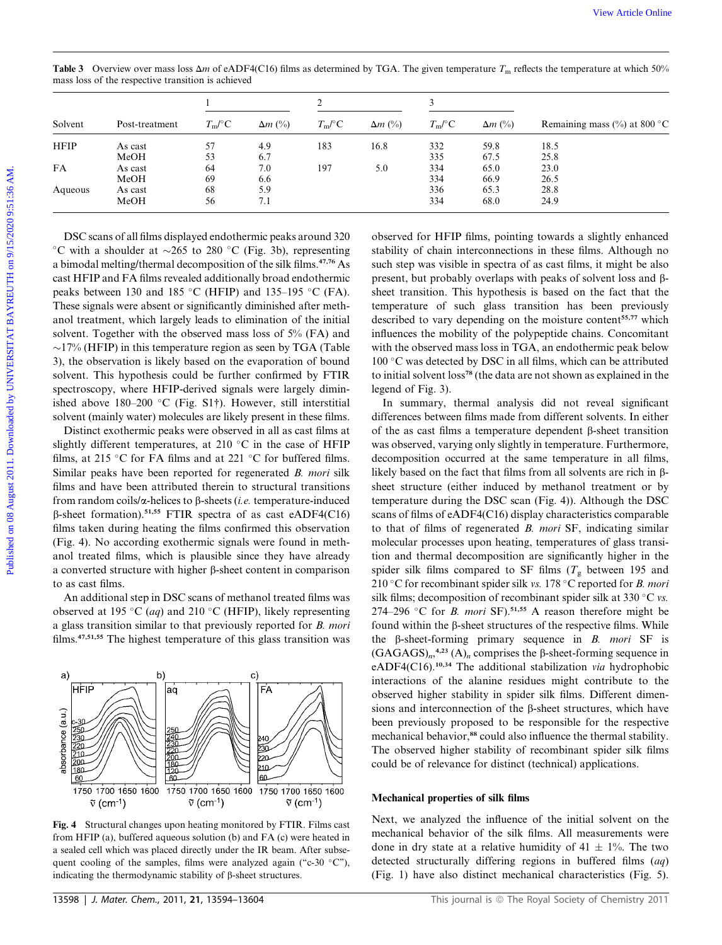|             |                                                                                                                                                                                                                                                                      | 1                               |                | $\overline{\mathbf{c}}$     |                    | 3          |                |                                                                                                                                                                                                                                                                                                                                                                                                                                                                                                                                                                                                                                                                                              |  |
|-------------|----------------------------------------------------------------------------------------------------------------------------------------------------------------------------------------------------------------------------------------------------------------------|---------------------------------|----------------|-----------------------------|--------------------|------------|----------------|----------------------------------------------------------------------------------------------------------------------------------------------------------------------------------------------------------------------------------------------------------------------------------------------------------------------------------------------------------------------------------------------------------------------------------------------------------------------------------------------------------------------------------------------------------------------------------------------------------------------------------------------------------------------------------------------|--|
| Solvent     | Post-treatment                                                                                                                                                                                                                                                       | $T_{\rm m}\!/\!{}^\circ{\rm C}$ | $\Delta m$ (%) | $T_{\rm m}/^{\circ}{\rm C}$ | $\Delta m$ (%)     | $T_m$ /°C  | $\Delta m$ (%) | Remaining mass $(\% )$ at 800 °C                                                                                                                                                                                                                                                                                                                                                                                                                                                                                                                                                                                                                                                             |  |
| <b>HFIP</b> | As cast                                                                                                                                                                                                                                                              | 57                              | 4.9            | 183                         | 16.8               | 332        | 59.8           | 18.5                                                                                                                                                                                                                                                                                                                                                                                                                                                                                                                                                                                                                                                                                         |  |
|             | MeOH                                                                                                                                                                                                                                                                 | 53                              | 6.7            |                             |                    | 335        | 67.5           | 25.8                                                                                                                                                                                                                                                                                                                                                                                                                                                                                                                                                                                                                                                                                         |  |
| FA          | As cast                                                                                                                                                                                                                                                              | 64                              | 7.0            | 197                         | 5.0                | 334        | 65.0           | 23.0                                                                                                                                                                                                                                                                                                                                                                                                                                                                                                                                                                                                                                                                                         |  |
| Aqueous     | MeOH<br>As cast                                                                                                                                                                                                                                                      | 69<br>68                        | 6.6<br>5.9     |                             |                    | 334<br>336 | 66.9<br>65.3   | 26.5<br>28.8                                                                                                                                                                                                                                                                                                                                                                                                                                                                                                                                                                                                                                                                                 |  |
|             | MeOH                                                                                                                                                                                                                                                                 | 56                              | 7.1            |                             |                    | 334        | 68.0           | 24.9                                                                                                                                                                                                                                                                                                                                                                                                                                                                                                                                                                                                                                                                                         |  |
|             | $\sim$ 17% (HFIP) in this temperature region as seen by TGA (Table<br>3), the observation is likely based on the evaporation of bound<br>solvent. This hypothesis could be further confirmed by FTIR<br>spectroscopy, where HFIP-derived signals were largely dimin- |                                 |                |                             | legend of Fig. 3). |            |                | with the observed mass loss in TGA, an endothermic peak below<br>100 °C was detected by DSC in all films, which can be attributed<br>to initial solvent loss <sup>78</sup> (the data are not shown as explained in the                                                                                                                                                                                                                                                                                                                                                                                                                                                                       |  |
|             | ished above 180-200 °C (Fig. S1 $\dagger$ ). However, still interstitial<br>solvent (mainly water) molecules are likely present in these films.                                                                                                                      |                                 |                |                             |                    |            |                |                                                                                                                                                                                                                                                                                                                                                                                                                                                                                                                                                                                                                                                                                              |  |
|             | Distinct exothermic peaks were observed in all as cast films at<br>slightly different temperatures, at 210 °C in the case of HFIP                                                                                                                                    |                                 |                |                             |                    |            |                |                                                                                                                                                                                                                                                                                                                                                                                                                                                                                                                                                                                                                                                                                              |  |
|             | films, at 215 °C for FA films and at 221 °C for buffered films.                                                                                                                                                                                                      |                                 |                |                             |                    |            |                |                                                                                                                                                                                                                                                                                                                                                                                                                                                                                                                                                                                                                                                                                              |  |
|             | Similar peaks have been reported for regenerated <i>B. mori</i> silk                                                                                                                                                                                                 |                                 |                |                             |                    |            |                |                                                                                                                                                                                                                                                                                                                                                                                                                                                                                                                                                                                                                                                                                              |  |
|             | films and have been attributed therein to structural transitions                                                                                                                                                                                                     |                                 |                |                             |                    |            |                |                                                                                                                                                                                                                                                                                                                                                                                                                                                                                                                                                                                                                                                                                              |  |
|             |                                                                                                                                                                                                                                                                      |                                 |                |                             |                    |            |                |                                                                                                                                                                                                                                                                                                                                                                                                                                                                                                                                                                                                                                                                                              |  |
|             | from random coils/ $\alpha$ -helices to $\beta$ -sheets ( <i>i.e.</i> temperature-induced                                                                                                                                                                            |                                 |                |                             |                    |            |                |                                                                                                                                                                                                                                                                                                                                                                                                                                                                                                                                                                                                                                                                                              |  |
|             | $\beta$ -sheet formation). <sup>51,55</sup> FTIR spectra of as cast eADF4(C16)                                                                                                                                                                                       |                                 |                |                             |                    |            |                |                                                                                                                                                                                                                                                                                                                                                                                                                                                                                                                                                                                                                                                                                              |  |
|             | films taken during heating the films confirmed this observation                                                                                                                                                                                                      |                                 |                |                             |                    |            |                | In summary, thermal analysis did not reveal significant<br>differences between films made from different solvents. In either<br>of the as cast films a temperature dependent $\beta$ -sheet transition<br>was observed, varying only slightly in temperature. Furthermore,<br>decomposition occurred at the same temperature in all films,<br>likely based on the fact that films from all solvents are rich in $\beta$ -<br>sheet structure (either induced by methanol treatment or by<br>temperature during the DSC scan (Fig. 4)). Although the DSC<br>scans of films of eADF4(C16) display characteristics comparable<br>to that of films of regenerated B. mori SF, indicating similar |  |
|             | (Fig. 4). No according exothermic signals were found in meth-                                                                                                                                                                                                        |                                 |                |                             |                    |            |                | molecular processes upon heating, temperatures of glass transi-                                                                                                                                                                                                                                                                                                                                                                                                                                                                                                                                                                                                                              |  |
|             | anol treated films, which is plausible since they have already<br>a converted structure with higher $\beta$ -sheet content in comparison                                                                                                                             |                                 |                |                             |                    |            |                | tion and thermal decomposition are significantly higher in the<br>spider silk films compared to SF films $(T_{\alpha})$ between 195 and                                                                                                                                                                                                                                                                                                                                                                                                                                                                                                                                                      |  |

**Table 3** Overview over mass loss  $\Delta m$  of eADF4(C16) films as determined by TGA. The given temperature  $T_m$  reflects the temperature at which 50% mass loss of the respective transition is achieved

Distinct exothermic peaks were observed in all as cast films at slightly different temperatures, at 210  $^{\circ}$ C in the case of HFIP films, at 215 °C for FA films and at 221 °C for buffered films. Similar peaks have been reported for regenerated B. mori silk films and have been attributed therein to structural transitions from random coils/ $\alpha$ -helices to  $\beta$ -sheets (*i.e.* temperature-induced  $\beta$ -sheet formation).<sup>51,55</sup> FTIR spectra of as cast eADF4(C16) films taken during heating the films confirmed this observation (Fig. 4). No according exothermic signals were found in methanol treated films, which is plausible since they have already a converted structure with higher  $\beta$ -sheet content in comparison to as cast films.

An additional step in DSC scans of methanol treated films was observed at 195 °C (*aq*) and 210 °C (HFIP), likely representing a glass transition similar to that previously reported for B. mori films.47,51,55 The highest temperature of this glass transition was



Fig. 4 Structural changes upon heating monitored by FTIR. Films cast from HFIP (a), buffered aqueous solution (b) and FA (c) were heated in a sealed cell which was placed directly under the IR beam. After subsequent cooling of the samples, films were analyzed again ("c-30  $\degree$ C"), indicating the thermodynamic stability of  $\beta$ -sheet structures.

In summary, thermal analysis did not reveal significant differences between films made from different solvents. In either of the as cast films a temperature dependent  $\beta$ -sheet transition was observed, varying only slightly in temperature. Furthermore, decomposition occurred at the same temperature in all films, likely based on the fact that films from all solvents are rich in  $\beta$ sheet structure (either induced by methanol treatment or by temperature during the DSC scan (Fig. 4)). Although the DSC scans of films of eADF4(C16) display characteristics comparable to that of films of regenerated B. mori SF, indicating similar molecular processes upon heating, temperatures of glass transition and thermal decomposition are significantly higher in the spider silk films compared to SF films ( $T_g$  between 195 and 210 °C for recombinant spider silk vs. 178 °C reported for B. mori silk films; decomposition of recombinant spider silk at 330  $\degree$ C vs. 274–296 °C for *B. mori* SF).<sup>51,55</sup> A reason therefore might be found within the  $\beta$ -sheet structures of the respective films. While the  $\beta$ -sheet-forming primary sequence in B. mori SF is  $(GAGAGS)<sub>n</sub>,<sup>4,23</sup> (A)<sub>n</sub> comprises the  $\beta$ -sheet-forming sequence in$ eADF4(C16).<sup>10,34</sup> The additional stabilization via hydrophobic interactions of the alanine residues might contribute to the observed higher stability in spider silk films. Different dimensions and interconnection of the  $\beta$ -sheet structures, which have been previously proposed to be responsible for the respective mechanical behavior,<sup>88</sup> could also influence the thermal stability. The observed higher stability of recombinant spider silk films could be of relevance for distinct (technical) applications.

#### Mechanical properties of silk films

Next, we analyzed the influence of the initial solvent on the mechanical behavior of the silk films. All measurements were done in dry state at a relative humidity of  $41 \pm 1\%$ . The two detected structurally differing regions in buffered films (aq) (Fig. 1) have also distinct mechanical characteristics (Fig. 5).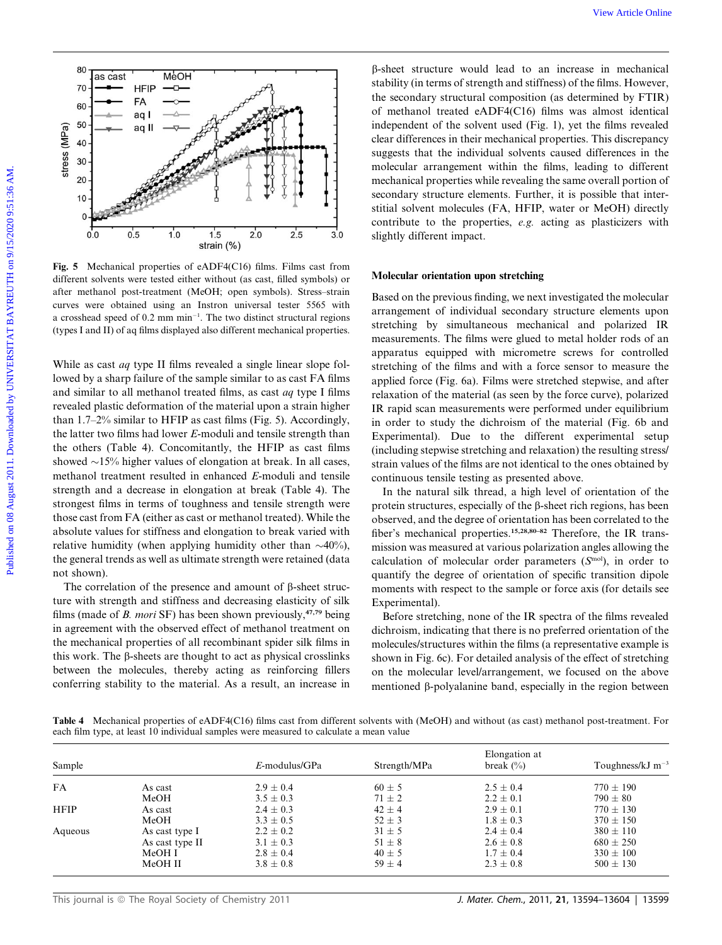

Fig. 5 Mechanical properties of eADF4(C16) films. Films cast from different solvents were tested either without (as cast, filled symbols) or after methanol post-treatment (MeOH; open symbols). Stress–strain curves were obtained using an Instron universal tester 5565 with a crosshead speed of  $0.2$  mm min<sup>-1</sup>. The two distinct structural regions (types I and II) of aq films displayed also different mechanical properties.

While as cast *aq* type II films revealed a single linear slope followed by a sharp failure of the sample similar to as cast FA films and similar to all methanol treated films, as cast aq type I films revealed plastic deformation of the material upon a strain higher than 1.7–2% similar to HFIP as cast films (Fig. 5). Accordingly, the latter two films had lower E-moduli and tensile strength than the others (Table 4). Concomitantly, the HFIP as cast films showed  $\sim$ 15% higher values of elongation at break. In all cases, methanol treatment resulted in enhanced E-moduli and tensile strength and a decrease in elongation at break (Table 4). The strongest films in terms of toughness and tensile strength were those cast from FA (either as cast or methanol treated). While the absolute values for stiffness and elongation to break varied with relative humidity (when applying humidity other than  $\sim$ 40%), the general trends as well as ultimate strength were retained (data not shown).

The correlation of the presence and amount of  $\beta$ -sheet structure with strength and stiffness and decreasing elasticity of silk films (made of B. mori SF) has been shown previously, $47,79$  being in agreement with the observed effect of methanol treatment on the mechanical properties of all recombinant spider silk films in this work. The  $\beta$ -sheets are thought to act as physical crosslinks between the molecules, thereby acting as reinforcing fillers conferring stability to the material. As a result, an increase in

b-sheet structure would lead to an increase in mechanical stability (in terms of strength and stiffness) of the films. However, the secondary structural composition (as determined by FTIR) of methanol treated eADF4(C16) films was almost identical independent of the solvent used (Fig. 1), yet the films revealed clear differences in their mechanical properties. This discrepancy suggests that the individual solvents caused differences in the molecular arrangement within the films, leading to different mechanical properties while revealing the same overall portion of secondary structure elements. Further, it is possible that interstitial solvent molecules (FA, HFIP, water or MeOH) directly contribute to the properties, e.g. acting as plasticizers with slightly different impact.

#### Molecular orientation upon stretching

Based on the previous finding, we next investigated the molecular arrangement of individual secondary structure elements upon stretching by simultaneous mechanical and polarized IR measurements. The films were glued to metal holder rods of an apparatus equipped with micrometre screws for controlled stretching of the films and with a force sensor to measure the applied force (Fig. 6a). Films were stretched stepwise, and after relaxation of the material (as seen by the force curve), polarized IR rapid scan measurements were performed under equilibrium in order to study the dichroism of the material (Fig. 6b and Experimental). Due to the different experimental setup (including stepwise stretching and relaxation) the resulting stress/ strain values of the films are not identical to the ones obtained by continuous tensile testing as presented above.

In the natural silk thread, a high level of orientation of the protein structures, especially of the  $\beta$ -sheet rich regions, has been observed, and the degree of orientation has been correlated to the fiber's mechanical properties.<sup>15,28,80-82</sup> Therefore, the IR transmission was measured at various polarization angles allowing the calculation of molecular order parameters  $(S<sup>mol</sup>)$ , in order to quantify the degree of orientation of specific transition dipole moments with respect to the sample or force axis (for details see Experimental).

Before stretching, none of the IR spectra of the films revealed dichroism, indicating that there is no preferred orientation of the molecules/structures within the films (a representative example is shown in Fig. 6c). For detailed analysis of the effect of stretching on the molecular level/arrangement, we focused on the above mentioned  $\beta$ -polyalanine band, especially in the region between

Table 4 Mechanical properties of eADF4(C16) films cast from different solvents with (MeOH) and without (as cast) methanol post-treatment. For each film type, at least 10 individual samples were measured to calculate a mean value

| Sample      |                 | $E$ -modulus/GPa | Strength/MPa | Elongation at<br>break $(\% )$ | Toughness/kJ $m^{-3}$ |
|-------------|-----------------|------------------|--------------|--------------------------------|-----------------------|
| <b>FA</b>   | As cast         | $2.9 \pm 0.4$    | $60 \pm 5$   | $2.5 \pm 0.4$                  | $770 \pm 190$         |
|             | MeOH            | $3.5 \pm 0.3$    | $71 \pm 2$   | $2.2 \pm 0.1$                  | $790 \pm 80$          |
| <b>HFIP</b> | As cast         | $2.4 \pm 0.3$    | $42 \pm 4$   | $2.9 \pm 0.1$                  | $770 \pm 130$         |
|             | MeOH            | $3.3 \pm 0.5$    | $52 \pm 3$   | $1.8 \pm 0.3$                  | $370 \pm 150$         |
| Aqueous     | As cast type I  | $2.2 \pm 0.2$    | $31 \pm 5$   | $2.4 \pm 0.4$                  | $380 \pm 110$         |
|             | As cast type II | $3.1 \pm 0.3$    | $51 \pm 8$   | $2.6 \pm 0.8$                  | $680 \pm 250$         |
|             | MeOH I          | $2.8 \pm 0.4$    | $40 \pm 5$   | $1.7 \pm 0.4$                  | $330 \pm 100$         |
|             | MeOH II         | $3.8 \pm 0.8$    | $59 \pm 4$   | $2.3 \pm 0.8$                  | $500 \pm 130$         |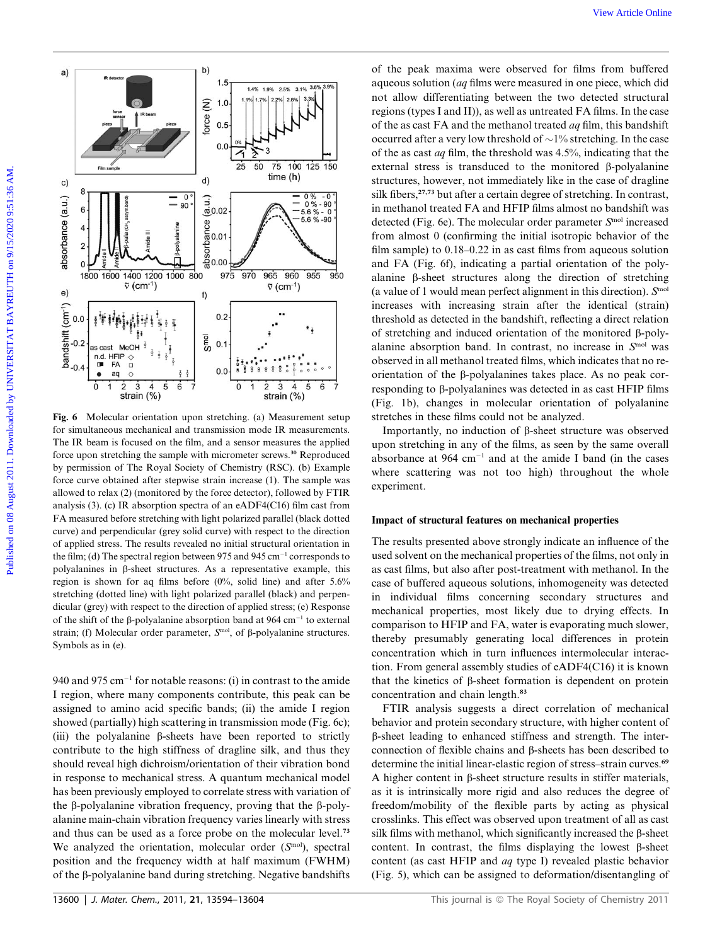

Fig. 6 Molecular orientation upon stretching. (a) Measurement setup for simultaneous mechanical and transmission mode IR measurements. The IR beam is focused on the film, and a sensor measures the applied force upon stretching the sample with micrometer screws.<sup>30</sup> Reproduced by permission of The Royal Society of Chemistry (RSC). (b) Example force curve obtained after stepwise strain increase (1). The sample was allowed to relax (2) (monitored by the force detector), followed by FTIR analysis (3). (c) IR absorption spectra of an eADF4(C16) film cast from FA measured before stretching with light polarized parallel (black dotted curve) and perpendicular (grey solid curve) with respect to the direction of applied stress. The results revealed no initial structural orientation in the film; (d) The spectral region between 975 and 945 cm<sup>-1</sup> corresponds to polyalanines in  $\beta$ -sheet structures. As a representative example, this region is shown for aq films before (0%, solid line) and after 5.6% stretching (dotted line) with light polarized parallel (black) and perpendicular (grey) with respect to the direction of applied stress; (e) Response of the shift of the  $\beta$ -polyalanine absorption band at 964 cm<sup>-1</sup> to external strain; (f) Molecular order parameter,  $S<sup>mol</sup>$ , of  $\beta$ -polyalanine structures. Symbols as in (e).

940 and 975 cm<sup>-1</sup> for notable reasons: (i) in contrast to the amide I region, where many components contribute, this peak can be assigned to amino acid specific bands; (ii) the amide I region showed (partially) high scattering in transmission mode (Fig. 6c); (iii) the polyalanine  $\beta$ -sheets have been reported to strictly contribute to the high stiffness of dragline silk, and thus they should reveal high dichroism/orientation of their vibration bond in response to mechanical stress. A quantum mechanical model has been previously employed to correlate stress with variation of the  $\beta$ -polyalanine vibration frequency, proving that the  $\beta$ -polyalanine main-chain vibration frequency varies linearly with stress and thus can be used as a force probe on the molecular level.<sup>73</sup> We analyzed the orientation, molecular order  $(S<sup>mol</sup>)$ , spectral position and the frequency width at half maximum (FWHM) of the  $\beta$ -polyalanine band during stretching. Negative bandshifts

of the peak maxima were observed for films from buffered aqueous solution (aq films were measured in one piece, which did not allow differentiating between the two detected structural regions (types I and II)), as well as untreated FA films. In the case of the as cast FA and the methanol treated aq film, this bandshift occurred after a very low threshold of  $\sim$ 1% stretching. In the case of the as cast aq film, the threshold was 4.5%, indicating that the external stress is transduced to the monitored B-polyalanine structures, however, not immediately like in the case of dragline silk fibers,<sup>27,73</sup> but after a certain degree of stretching. In contrast, in methanol treated FA and HFIP films almost no bandshift was detected (Fig. 6e). The molecular order parameter  $S<sup>mol</sup>$  increased from almost 0 (confirming the initial isotropic behavior of the film sample) to 0.18–0.22 in as cast films from aqueous solution and FA (Fig. 6f), indicating a partial orientation of the polyalanine  $\beta$ -sheet structures along the direction of stretching (a value of 1 would mean perfect alignment in this direction).  $S<sup>mol</sup>$ increases with increasing strain after the identical (strain) threshold as detected in the bandshift, reflecting a direct relation of stretching and induced orientation of the monitored  $\beta$ -polyalanine absorption band. In contrast, no increase in  $S<sup>mol</sup>$  was observed in all methanol treated films, which indicates that no reorientation of the  $\beta$ -polyalanines takes place. As no peak corresponding to  $\beta$ -polyalanines was detected in as cast HFIP films (Fig. 1b), changes in molecular orientation of polyalanine stretches in these films could not be analyzed.

Importantly, no induction of  $\beta$ -sheet structure was observed upon stretching in any of the films, as seen by the same overall absorbance at  $964 \text{ cm}^{-1}$  and at the amide I band (in the cases where scattering was not too high) throughout the whole experiment.

## Impact of structural features on mechanical properties

The results presented above strongly indicate an influence of the used solvent on the mechanical properties of the films, not only in as cast films, but also after post-treatment with methanol. In the case of buffered aqueous solutions, inhomogeneity was detected in individual films concerning secondary structures and mechanical properties, most likely due to drying effects. In comparison to HFIP and FA, water is evaporating much slower, thereby presumably generating local differences in protein concentration which in turn influences intermolecular interaction. From general assembly studies of eADF4(C16) it is known that the kinetics of  $\beta$ -sheet formation is dependent on protein concentration and chain length.<sup>83</sup>

FTIR analysis suggests a direct correlation of mechanical behavior and protein secondary structure, with higher content of b-sheet leading to enhanced stiffness and strength. The interconnection of flexible chains and  $\beta$ -sheets has been described to determine the initial linear-elastic region of stress–strain curves.<sup>69</sup> A higher content in  $\beta$ -sheet structure results in stiffer materials, as it is intrinsically more rigid and also reduces the degree of freedom/mobility of the flexible parts by acting as physical crosslinks. This effect was observed upon treatment of all as cast silk films with methanol, which significantly increased the  $\beta$ -sheet content. In contrast, the films displaying the lowest  $\beta$ -sheet content (as cast HFIP and aq type I) revealed plastic behavior (Fig. 5), which can be assigned to deformation/disentangling of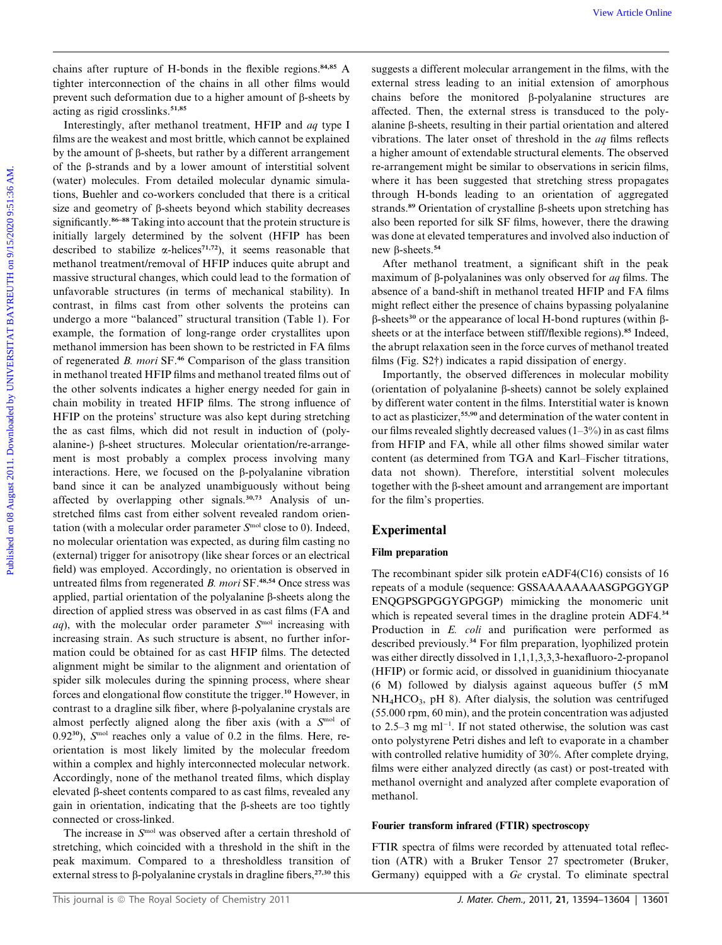chains after rupture of H-bonds in the flexible regions.<sup>84,85</sup> A tighter interconnection of the chains in all other films would prevent such deformation due to a higher amount of  $\beta$ -sheets by acting as rigid crosslinks.<sup>51,85</sup>

Interestingly, after methanol treatment, HFIP and aq type I films are the weakest and most brittle, which cannot be explained by the amount of  $\beta$ -sheets, but rather by a different arrangement of the b-strands and by a lower amount of interstitial solvent (water) molecules. From detailed molecular dynamic simulations, Buehler and co-workers concluded that there is a critical size and geometry of  $\beta$ -sheets beyond which stability decreases significantly.<sup>86-88</sup> Taking into account that the protein structure is initially largely determined by the solvent (HFIP has been described to stabilize  $\alpha$ -helices<sup>71,72</sup>), it seems reasonable that methanol treatment/removal of HFIP induces quite abrupt and massive structural changes, which could lead to the formation of unfavorable structures (in terms of mechanical stability). In contrast, in films cast from other solvents the proteins can undergo a more ''balanced'' structural transition (Table 1). For example, the formation of long-range order crystallites upon methanol immersion has been shown to be restricted in FA films of regenerated B. mori SF.<sup>46</sup> Comparison of the glass transition in methanol treated HFIP films and methanol treated films out of the other solvents indicates a higher energy needed for gain in chain mobility in treated HFIP films. The strong influence of HFIP on the proteins' structure was also kept during stretching the as cast films, which did not result in induction of (polyalanine-)  $\beta$ -sheet structures. Molecular orientation/re-arrangement is most probably a complex process involving many interactions. Here, we focused on the  $\beta$ -polyalanine vibration band since it can be analyzed unambiguously without being affected by overlapping other signals.<sup>30,73</sup> Analysis of unstretched films cast from either solvent revealed random orientation (with a molecular order parameter  $S<sup>mol</sup>$  close to 0). Indeed, no molecular orientation was expected, as during film casting no (external) trigger for anisotropy (like shear forces or an electrical field) was employed. Accordingly, no orientation is observed in untreated films from regenerated B. mori SF.<sup>48,54</sup> Once stress was applied, partial orientation of the polyalanine  $\beta$ -sheets along the direction of applied stress was observed in as cast films (FA and  $aq$ ), with the molecular order parameter  $S<sup>mol</sup>$  increasing with increasing strain. As such structure is absent, no further information could be obtained for as cast HFIP films. The detected alignment might be similar to the alignment and orientation of spider silk molecules during the spinning process, where shear forces and elongational flow constitute the trigger.<sup>10</sup> However, in contrast to a dragline silk fiber, where  $\beta$ -polyalanine crystals are almost perfectly aligned along the fiber axis (with a  $S<sup>mol</sup>$  of 0.92 $^{30}$ ),  $S<sup>mol</sup>$  reaches only a value of 0.2 in the films. Here, reorientation is most likely limited by the molecular freedom within a complex and highly interconnected molecular network. Accordingly, none of the methanol treated films, which display elevated b-sheet contents compared to as cast films, revealed any gain in orientation, indicating that the  $\beta$ -sheets are too tightly connected or cross-linked. We wave the content of H-boads in the flaxible regions.<sup>54</sup> A rangests a different molecular arrangement in the flaxible present in the distribution of the distribution of the distribution of the distribution of the distr

The increase in  $S<sup>mol</sup>$  was observed after a certain threshold of stretching, which coincided with a threshold in the shift in the peak maximum. Compared to a thresholdless transition of external stress to  $\beta$ -polyalanine crystals in dragline fibers,<sup>27,30</sup> this

suggests a different molecular arrangement in the films, with the external stress leading to an initial extension of amorphous chains before the monitored b-polyalanine structures are affected. Then, the external stress is transduced to the polyalanine  $\beta$ -sheets, resulting in their partial orientation and altered vibrations. The later onset of threshold in the aq films reflects a higher amount of extendable structural elements. The observed re-arrangement might be similar to observations in sericin films, where it has been suggested that stretching stress propagates through H-bonds leading to an orientation of aggregated strands.<sup>89</sup> Orientation of crystalline  $\beta$ -sheets upon stretching has also been reported for silk SF films, however, there the drawing was done at elevated temperatures and involved also induction of new  $\beta$ -sheets.<sup>54</sup>

After methanol treatment, a significant shift in the peak maximum of  $\beta$ -polyalanines was only observed for *aq* films. The absence of a band-shift in methanol treated HFIP and FA films might reflect either the presence of chains bypassing polyalanine  $\beta$ -sheets<sup>30</sup> or the appearance of local H-bond ruptures (within  $\beta$ sheets or at the interface between stiff/flexible regions).<sup>85</sup> Indeed, the abrupt relaxation seen in the force curves of methanol treated films (Fig. S2†) indicates a rapid dissipation of energy.

Importantly, the observed differences in molecular mobility (orientation of polyalanine  $\beta$ -sheets) cannot be solely explained by different water content in the films. Interstitial water is known to act as plasticizer,<sup>55,90</sup> and determination of the water content in our films revealed slightly decreased values (1–3%) in as cast films from HFIP and FA, while all other films showed similar water content (as determined from TGA and Karl–Fischer titrations, data not shown). Therefore, interstitial solvent molecules together with the  $\beta$ -sheet amount and arrangement are important for the film's properties.

# Experimental

## Film preparation

The recombinant spider silk protein eADF4(C16) consists of 16 repeats of a module (sequence: GSSAAAAAAAASGPGGYGP ENQGPSGPGGYGPGGP) mimicking the monomeric unit which is repeated several times in the dragline protein ADF4.<sup>34</sup> Production in E. coli and purification were performed as described previously.<sup>34</sup> For film preparation, lyophilized protein was either directly dissolved in 1,1,1,3,3,3-hexafluoro-2-propanol (HFIP) or formic acid, or dissolved in guanidinium thiocyanate (6 M) followed by dialysis against aqueous buffer (5 mM  $NH<sub>4</sub>HCO<sub>3</sub>$ , pH 8). After dialysis, the solution was centrifuged (55.000 rpm, 60 min), and the protein concentration was adjusted to 2.5–3 mg m $l^{-1}$ . If not stated otherwise, the solution was cast onto polystyrene Petri dishes and left to evaporate in a chamber with controlled relative humidity of 30%. After complete drying, films were either analyzed directly (as cast) or post-treated with methanol overnight and analyzed after complete evaporation of methanol.

# Fourier transform infrared (FTIR) spectroscopy

FTIR spectra of films were recorded by attenuated total reflection (ATR) with a Bruker Tensor 27 spectrometer (Bruker, Germany) equipped with a Ge crystal. To eliminate spectral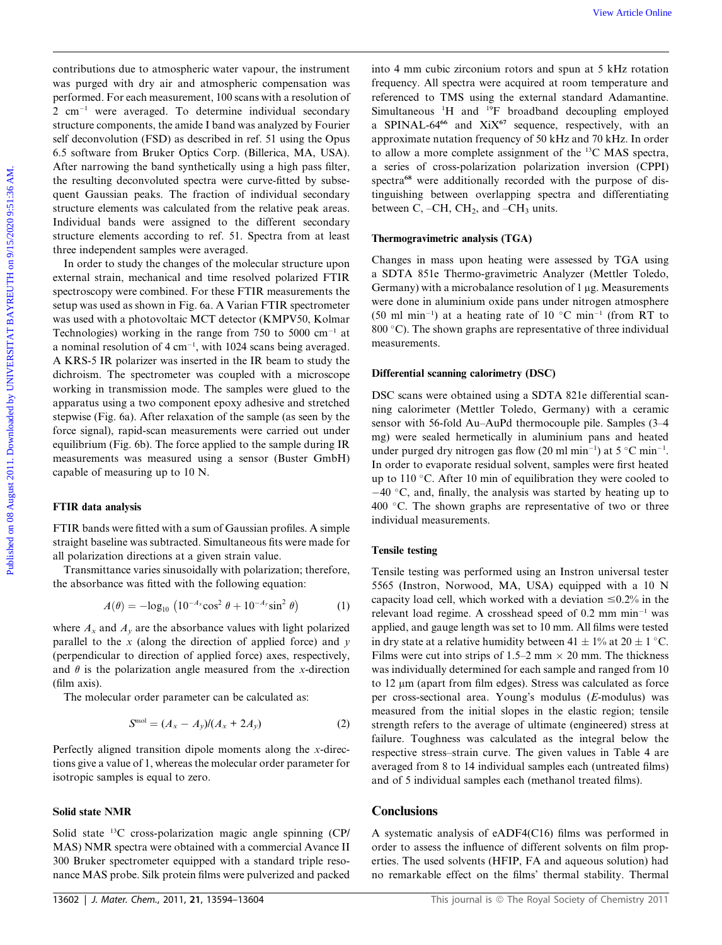contributions due to atmospheric water vapour, the instrument was purged with dry air and atmospheric compensation was performed. For each measurement, 100 scans with a resolution of  $2 \text{ cm}^{-1}$  were averaged. To determine individual secondary structure components, the amide I band was analyzed by Fourier self deconvolution (FSD) as described in ref. 51 using the Opus 6.5 software from Bruker Optics Corp. (Billerica, MA, USA). After narrowing the band synthetically using a high pass filter, the resulting deconvoluted spectra were curve-fitted by subsequent Gaussian peaks. The fraction of individual secondary structure elements was calculated from the relative peak areas. Individual bands were assigned to the different secondary structure elements according to ref. 51. Spectra from at least three independent samples were averaged.

In order to study the changes of the molecular structure upon external strain, mechanical and time resolved polarized FTIR spectroscopy were combined. For these FTIR measurements the setup was used as shown in Fig. 6a. A Varian FTIR spectrometer was used with a photovoltaic MCT detector (KMPV50, Kolmar Technologies) working in the range from 750 to 5000  $cm^{-1}$  at a nominal resolution of  $4 \text{ cm}^{-1}$ , with 1024 scans being averaged. A KRS-5 IR polarizer was inserted in the IR beam to study the dichroism. The spectrometer was coupled with a microscope working in transmission mode. The samples were glued to the apparatus using a two component epoxy adhesive and stretched stepwise (Fig. 6a). After relaxation of the sample (as seen by the force signal), rapid-scan measurements were carried out under equilibrium (Fig. 6b). The force applied to the sample during IR measurements was measured using a sensor (Buster GmbH) capable of measuring up to 10 N. ontributions due to attaceptive water vapour, the intermediation and the August 2018 and the maximum contract and the maximum contract and the maximum contract and the maximum contract and the maximum contract and the ma

# FTIR data analysis

FTIR bands were fitted with a sum of Gaussian profiles. A simple straight baseline was subtracted. Simultaneous fits were made for all polarization directions at a given strain value.

Transmittance varies sinusoidally with polarization; therefore, the absorbance was fitted with the following equation:

$$
A(\theta) = -\log_{10} \left( 10^{-A_x} \cos^2 \theta + 10^{-A_y} \sin^2 \theta \right) \tag{1}
$$

where  $A_x$  and  $A_y$  are the absorbance values with light polarized parallel to the  $x$  (along the direction of applied force) and  $y$ (perpendicular to direction of applied force) axes, respectively, and  $\theta$  is the polarization angle measured from the x-direction (film axis).

The molecular order parameter can be calculated as:

$$
Smol = (Ax - Ay)/(Ax + 2Ay)
$$
 (2)

Perfectly aligned transition dipole moments along the x-directions give a value of 1, whereas the molecular order parameter for isotropic samples is equal to zero.

## Solid state NMR

Solid state 13C cross-polarization magic angle spinning (CP/ MAS) NMR spectra were obtained with a commercial Avance II 300 Bruker spectrometer equipped with a standard triple resonance MAS probe. Silk protein films were pulverized and packed

into 4 mm cubic zirconium rotors and spun at 5 kHz rotation frequency. All spectra were acquired at room temperature and referenced to TMS using the external standard Adamantine. Simultaneous <sup>1</sup>H and <sup>19</sup>F broadband decoupling employed a SPINAL-64 $66$  and XiX $67$  sequence, respectively, with an approximate nutation frequency of 50 kHz and 70 kHz. In order to allow a more complete assignment of the 13C MAS spectra, a series of cross-polarization polarization inversion (CPPI) spectra<sup>68</sup> were additionally recorded with the purpose of distinguishing between overlapping spectra and differentiating between C,  $-CH$ ,  $CH<sub>2</sub>$ , and  $-CH<sub>3</sub>$  units.

#### Thermogravimetric analysis (TGA)

Changes in mass upon heating were assessed by TGA using a SDTA 851e Thermo-gravimetric Analyzer (Mettler Toledo, Germany) with a microbalance resolution of  $1 \mu g$ . Measurements were done in aluminium oxide pans under nitrogen atmosphere (50 ml min<sup>-1</sup>) at a heating rate of 10 °C min<sup>-1</sup> (from RT to 800 $\degree$ C). The shown graphs are representative of three individual measurements.

#### Differential scanning calorimetry (DSC)

DSC scans were obtained using a SDTA 821e differential scanning calorimeter (Mettler Toledo, Germany) with a ceramic sensor with 56-fold Au–AuPd thermocouple pile. Samples (3–4 mg) were sealed hermetically in aluminium pans and heated under purged dry nitrogen gas flow (20 ml min<sup>-1</sup>) at 5 °C min<sup>-1</sup>. In order to evaporate residual solvent, samples were first heated up to 110 °C. After 10 min of equilibration they were cooled to  $-40$  °C, and, finally, the analysis was started by heating up to  $400$  °C. The shown graphs are representative of two or three individual measurements.

#### Tensile testing

Tensile testing was performed using an Instron universal tester 5565 (Instron, Norwood, MA, USA) equipped with a 10 N capacity load cell, which worked with a deviation  $\leq 0.2\%$  in the relevant load regime. A crosshead speed of  $0.2$  mm min<sup>-1</sup> was applied, and gauge length was set to 10 mm. All films were tested in dry state at a relative humidity between  $41 \pm 1\%$  at  $20 \pm 1\degree$ C. Films were cut into strips of 1.5–2 mm  $\times$  20 mm. The thickness was individually determined for each sample and ranged from 10 to 12 μm (apart from film edges). Stress was calculated as force per cross-sectional area. Young's modulus (E-modulus) was measured from the initial slopes in the elastic region; tensile strength refers to the average of ultimate (engineered) stress at failure. Toughness was calculated as the integral below the respective stress–strain curve. The given values in Table 4 are averaged from 8 to 14 individual samples each (untreated films) and of 5 individual samples each (methanol treated films).

# **Conclusions**

A systematic analysis of eADF4(C16) films was performed in order to assess the influence of different solvents on film properties. The used solvents (HFIP, FA and aqueous solution) had no remarkable effect on the films' thermal stability. Thermal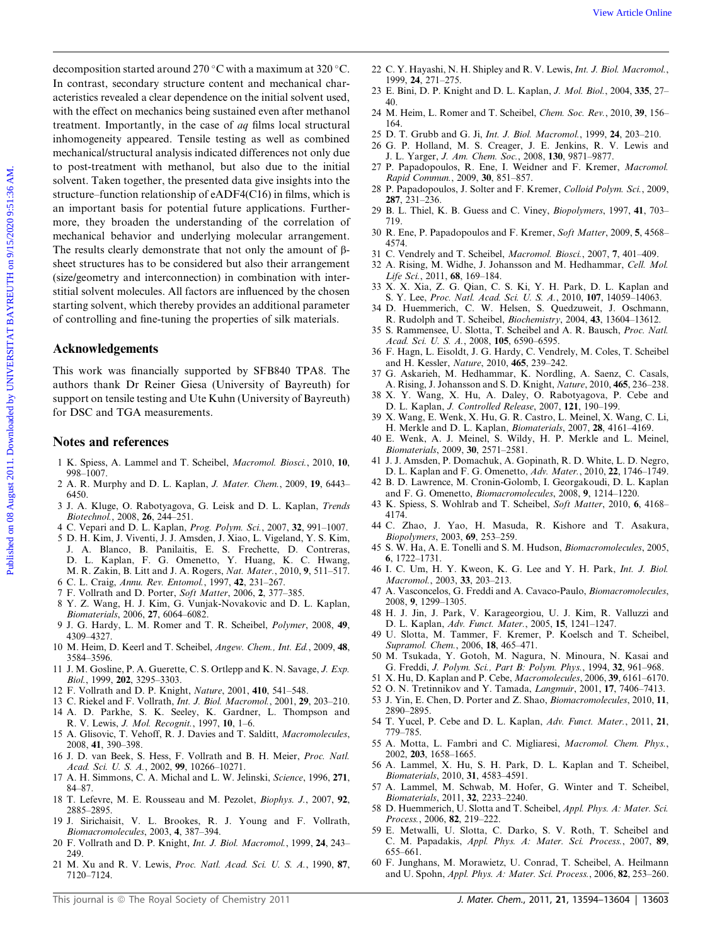decomposition started around 270 °C with a maximum at 320 °C. In contrast, secondary structure content and mechanical characteristics revealed a clear dependence on the initial solvent used, with the effect on mechanics being sustained even after methanol treatment. Importantly, in the case of aq films local structural inhomogeneity appeared. Tensile testing as well as combined mechanical/structural analysis indicated differences not only due to post-treatment with methanol, but also due to the initial solvent. Taken together, the presented data give insights into the structure–function relationship of eADF4(C16) in films, which is an important basis for potential future applications. Furthermore, they broaden the understanding of the correlation of mechanical behavior and underlying molecular arrangement. The results clearly demonstrate that not only the amount of  $\beta$ sheet structures has to be considered but also their arrangement (size/geometry and interconnection) in combination with interstitial solvent molecules. All factors are influenced by the chosen starting solvent, which thereby provides an additional parameter of controlling and fine-tuning the properties of silk materials. From the consistent of the consistent of the consistent of the consistent of the consistent of the consistent of the consistent of the consistent of the consistent of the consistent of the consistent of the consistent of

## Acknowledgements

This work was financially supported by SFB840 TPA8. The authors thank Dr Reiner Giesa (University of Bayreuth) for support on tensile testing and Ute Kuhn (University of Bayreuth) for DSC and TGA measurements.

## Notes and references

- 1 K. Spiess, A. Lammel and T. Scheibel, Macromol. Biosci., 2010, 10, 998–1007.
- 2 A. R. Murphy and D. L. Kaplan, J. Mater. Chem., 2009, 19, 6443– 6450.
- 3 J. A. Kluge, O. Rabotyagova, G. Leisk and D. L. Kaplan, Trends Biotechnol., 2008, 26, 244–251.
- 4 C. Vepari and D. L. Kaplan, Prog. Polym. Sci., 2007, 32, 991–1007.
- 5 D. H. Kim, J. Viventi, J. J. Amsden, J. Xiao, L. Vigeland, Y. S. Kim, J. A. Blanco, B. Panilaitis, E. S. Frechette, D. Contreras, D. L. Kaplan, F. G. Omenetto, Y. Huang, K. C. Hwang, M. R. Zakin, B. Litt and J. A. Rogers, Nat. Mater., 2010, 9, 511–517.
- 6 C. L. Craig, Annu. Rev. Entomol., 1997, 42, 231–267.
- 7 F. Vollrath and D. Porter, Soft Matter, 2006, 2, 377–385.
- 8 Y. Z. Wang, H. J. Kim, G. Vunjak-Novakovic and D. L. Kaplan, Biomaterials, 2006, 27, 6064–6082.
- 9 J. G. Hardy, L. M. Romer and T. R. Scheibel, Polymer, 2008, 49, 4309–4327.
- 10 M. Heim, D. Keerl and T. Scheibel, Angew. Chem., Int. Ed., 2009, 48, 3584–3596.
- 11 J. M. Gosline, P. A. Guerette, C. S. Ortlepp and K. N. Savage, J. Exp. Biol., 1999, 202, 3295–3303.
- 12 F. Vollrath and D. P. Knight, Nature, 2001, 410, 541–548.
- 13 C. Riekel and F. Vollrath, Int. J. Biol. Macromol., 2001, 29, 203–210.
- 14 A. D. Parkhe, S. K. Seeley, K. Gardner, L. Thompson and R. V. Lewis, J. Mol. Recognit., 1997, 10, 1–6.
- 15 A. Glisovic, T. Vehoff, R. J. Davies and T. Salditt, Macromolecules, 2008, 41, 390–398.
- 16 J. D. van Beek, S. Hess, F. Vollrath and B. H. Meier, Proc. Natl. Acad. Sci. U. S. A., 2002, 99, 10266–10271.
- 17 A. H. Simmons, C. A. Michal and L. W. Jelinski, Science, 1996, 271, 84–87.
- 18 T. Lefevre, M. E. Rousseau and M. Pezolet, Biophys. J., 2007, 92, 2885–2895.
- 19 J. Sirichaisit, V. L. Brookes, R. J. Young and F. Vollrath, Biomacromolecules, 2003, 4, 387–394.
- 20 F. Vollrath and D. P. Knight, Int. J. Biol. Macromol., 1999, 24, 243– 249.
- 21 M. Xu and R. V. Lewis, Proc. Natl. Acad. Sci. U. S. A., 1990, 87, 7120–7124.
- 22 C. Y. Hayashi, N. H. Shipley and R. V. Lewis, Int. J. Biol. Macromol., 1999, 24, 271–275.
- 23 E. Bini, D. P. Knight and D. L. Kaplan, J. Mol. Biol., 2004, 335, 27– 40.
- 24 M. Heim, L. Romer and T. Scheibel, Chem. Soc. Rev., 2010, 39, 156– 164.
- 25 D. T. Grubb and G. Ji, Int. J. Biol. Macromol., 1999, 24, 203–210.
- 26 G. P. Holland, M. S. Creager, J. E. Jenkins, R. V. Lewis and J. L. Yarger, J. Am. Chem. Soc., 2008, 130, 9871–9877.
- 27 P. Papadopoulos, R. Ene, I. Weidner and F. Kremer, Macromol. Rapid Commun., 2009, 30, 851–857.
- 28 P. Papadopoulos, J. Solter and F. Kremer, Colloid Polym. Sci., 2009, 287, 231–236.
- 29 B. L. Thiel, K. B. Guess and C. Viney, Biopolymers, 1997, 41, 703– 719.
- 30 R. Ene, P. Papadopoulos and F. Kremer, Soft Matter, 2009, 5, 4568– 4574.
- 31 C. Vendrely and T. Scheibel, Macromol. Biosci., 2007, 7, 401–409.
- 32 A. Rising, M. Widhe, J. Johansson and M. Hedhammar, Cell. Mol. Life Sci., 2011, 68, 169–184.
- 33 X. X. Xia, Z. G. Qian, C. S. Ki, Y. H. Park, D. L. Kaplan and S. Y. Lee, Proc. Natl. Acad. Sci. U. S. A., 2010, 107, 14059–14063.
- 34 D. Huemmerich, C. W. Helsen, S. Quedzuweit, J. Oschmann, R. Rudolph and T. Scheibel, Biochemistry, 2004, 43, 13604–13612.
- 35 S. Rammensee, U. Slotta, T. Scheibel and A. R. Bausch, Proc. Natl. Acad. Sci. U. S. A., 2008, 105, 6590–6595.
- 36 F. Hagn, L. Eisoldt, J. G. Hardy, C. Vendrely, M. Coles, T. Scheibel and H. Kessler, Nature, 2010, 465, 239–242.
- 37 G. Askarieh, M. Hedhammar, K. Nordling, A. Saenz, C. Casals, A. Rising, J. Johansson and S. D. Knight, Nature, 2010, 465, 236–238.
- 38 X. Y. Wang, X. Hu, A. Daley, O. Rabotyagova, P. Cebe and D. L. Kaplan, J. Controlled Release, 2007, 121, 190–199.
- 39 X. Wang, E. Wenk, X. Hu, G. R. Castro, L. Meinel, X. Wang, C. Li, H. Merkle and D. L. Kaplan, Biomaterials, 2007, 28, 4161–4169.
- 40 E. Wenk, A. J. Meinel, S. Wildy, H. P. Merkle and L. Meinel, Biomaterials, 2009, 30, 2571–2581.
- 41 J. J. Amsden, P. Domachuk, A. Gopinath, R. D. White, L. D. Negro, D. L. Kaplan and F. G. Omenetto, Adv. Mater., 2010, 22, 1746–1749.
- 42 B. D. Lawrence, M. Cronin-Golomb, I. Georgakoudi, D. L. Kaplan and F. G. Omenetto, Biomacromolecules, 2008, 9, 1214–1220.
- 43 K. Spiess, S. Wohlrab and T. Scheibel, Soft Matter, 2010, 6, 4168– 4174.
- 44 C. Zhao, J. Yao, H. Masuda, R. Kishore and T. Asakura, Biopolymers, 2003, 69, 253–259.
- 45 S. W. Ha, A. E. Tonelli and S. M. Hudson, Biomacromolecules, 2005, 6, 1722–1731.
- 46 I. C. Um, H. Y. Kweon, K. G. Lee and Y. H. Park, Int. J. Biol. Macromol., 2003, 33, 203–213.
- 47 A. Vasconcelos, G. Freddi and A. Cavaco-Paulo, Biomacromolecules, 2008, 9, 1299–1305.
- 48 H. J. Jin, J. Park, V. Karageorgiou, U. J. Kim, R. Valluzzi and D. L. Kaplan, Adv. Funct. Mater., 2005, 15, 1241–1247.
- 49 U. Slotta, M. Tammer, F. Kremer, P. Koelsch and T. Scheibel, Supramol. Chem., 2006, 18, 465–471.
- 50 M. Tsukada, Y. Gotoh, M. Nagura, N. Minoura, N. Kasai and G. Freddi, J. Polym. Sci., Part B: Polym. Phys., 1994, 32, 961–968.
- 51 X. Hu, D. Kaplan and P. Cebe, Macromolecules, 2006, 39, 6161–6170.
- 52 O. N. Tretinnikov and Y. Tamada, Langmuir, 2001, 17, 7406–7413.
- 53 J. Yin, E. Chen, D. Porter and Z. Shao, Biomacromolecules, 2010, 11, 2890–2895.
- 54 T. Yucel, P. Cebe and D. L. Kaplan, Adv. Funct. Mater., 2011, 21, 779–785.
- 55 A. Motta, L. Fambri and C. Migliaresi, Macromol. Chem. Phys., 2002, 203, 1658–1665.
- 56 A. Lammel, X. Hu, S. H. Park, D. L. Kaplan and T. Scheibel, Biomaterials, 2010, 31, 4583–4591.
- 57 A. Lammel, M. Schwab, M. Hofer, G. Winter and T. Scheibel, Biomaterials, 2011, 32, 2233–2240.
- 58 D. Huemmerich, U. Slotta and T. Scheibel, Appl. Phys. A: Mater. Sci. Process., 2006, 82, 219–222.
- 59 E. Metwalli, U. Slotta, C. Darko, S. V. Roth, T. Scheibel and C. M. Papadakis, Appl. Phys. A: Mater. Sci. Process., 2007, 89, 655–661.
- 60 F. Junghans, M. Morawietz, U. Conrad, T. Scheibel, A. Heilmann and U. Spohn, Appl. Phys. A: Mater. Sci. Process., 2006, 82, 253–260.